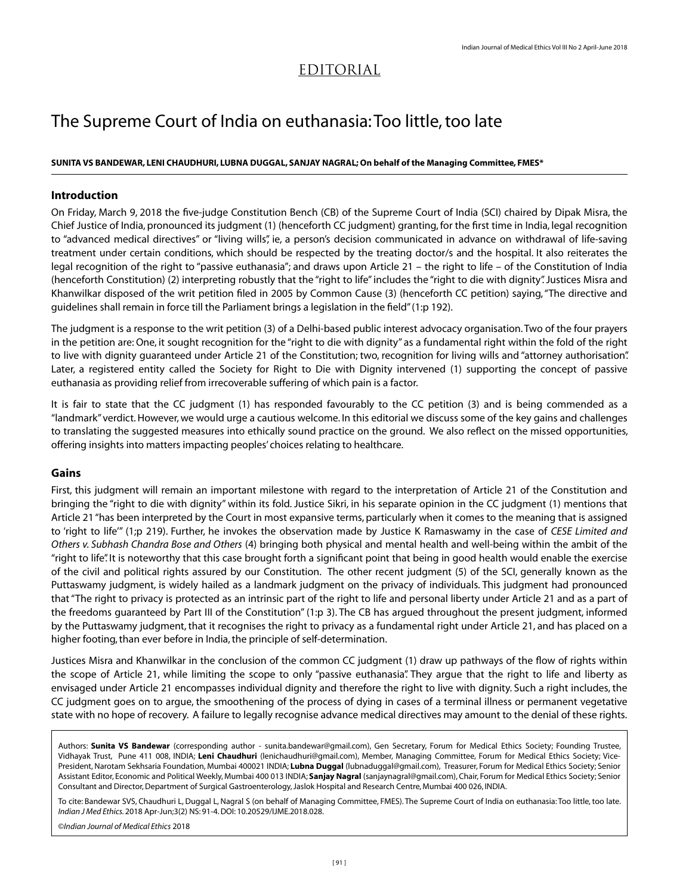# EDITORIAL

# The Supreme Court of India on euthanasia: Too little, too late

#### **SUNITA VS BANDEWAR, LENI CHAUDHURI, LUBNA DUGGAL, SANJAY NAGRAL; On behalf of the Managing Committee, FMES\***

## **Introduction**

On Friday, March 9, 2018 the five-judge Constitution Bench (CB) of the Supreme Court of India (SCI) chaired by Dipak Misra, the Chief Justice of India, pronounced its judgment (1) (henceforth CC judgment) granting, for the first time in India, legal recognition to "advanced medical directives" or "living wills", ie, a person's decision communicated in advance on withdrawal of life-saving treatment under certain conditions, which should be respected by the treating doctor/s and the hospital. It also reiterates the legal recognition of the right to "passive euthanasia"; and draws upon Article 21 – the right to life – of the Constitution of India (henceforth Constitution) (2) interpreting robustly that the "right to life" includes the "right to die with dignity". Justices Misra and Khanwilkar disposed of the writ petition filed in 2005 by Common Cause (3) (henceforth CC petition) saying, "The directive and guidelines shall remain in force till the Parliament brings a legislation in the field" (1:p 192).

The judgment is a response to the writ petition (3) of a Delhi-based public interest advocacy organisation. Two of the four prayers in the petition are: One, it sought recognition for the "right to die with dignity" as a fundamental right within the fold of the right to live with dignity guaranteed under Article 21 of the Constitution; two, recognition for living wills and "attorney authorisation". Later, a registered entity called the Society for Right to Die with Dignity intervened (1) supporting the concept of passive euthanasia as providing relief from irrecoverable suffering of which pain is a factor.

It is fair to state that the CC judgment (1) has responded favourably to the CC petition (3) and is being commended as a "landmark" verdict. However, we would urge a cautious welcome. In this editorial we discuss some of the key gains and challenges to translating the suggested measures into ethically sound practice on the ground. We also reflect on the missed opportunities, offering insights into matters impacting peoples' choices relating to healthcare.

### **Gains**

First, this judgment will remain an important milestone with regard to the interpretation of Article 21 of the Constitution and bringing the "right to die with dignity" within its fold. Justice Sikri, in his separate opinion in the CC judgment (1) mentions that Article 21 "has been interpreted by the Court in most expansive terms, particularly when it comes to the meaning that is assigned to 'right to life'" (1;p 219). Further, he invokes the observation made by Justice K Ramaswamy in the case of *CESE Limited and Others v. Subhash Chandra Bose and Others* (4) bringing both physical and mental health and well-being within the ambit of the "right to life". It is noteworthy that this case brought forth a significant point that being in good health would enable the exercise of the civil and political rights assured by our Constitution. The other recent judgment (5) of the SCI, generally known as the Puttaswamy judgment, is widely hailed as a landmark judgment on the privacy of individuals. This judgment had pronounced that "The right to privacy is protected as an intrinsic part of the right to life and personal liberty under Article 21 and as a part of the freedoms guaranteed by Part III of the Constitution" (1:p 3). The CB has argued throughout the present judgment, informed by the Puttaswamy judgment, that it recognises the right to privacy as a fundamental right under Article 21, and has placed on a higher footing, than ever before in India, the principle of self-determination.

Justices Misra and Khanwilkar in the conclusion of the common CC judgment (1) draw up pathways of the flow of rights within the scope of Article 21, while limiting the scope to only "passive euthanasia". They argue that the right to life and liberty as envisaged under Article 21 encompasses individual dignity and therefore the right to live with dignity. Such a right includes, the CC judgment goes on to argue, the smoothening of the process of dying in cases of a terminal illness or permanent vegetative state with no hope of recovery. A failure to legally recognise advance medical directives may amount to the denial of these rights.

Authors: **Sunita VS Bandewar** (corresponding author - sunita.bandewar@gmail.com), Gen Secretary, Forum for Medical Ethics Society; Founding Trustee, Vidhayak Trust, Pune 411 008, INDIA; **Leni Chaudhuri** (lenichaudhuri@gmail.com), Member, Managing Committee, Forum for Medical Ethics Society; Vice-President, Narotam Sekhsaria Foundation, Mumbai 400021 INDIA; **Lubna Duggal** (lubnaduggal@gmail.com), Treasurer, Forum for Medical Ethics Society; Senior Assistant Editor, Economic and Political Weekly, Mumbai 400 013 INDIA; **Sanjay Nagral** (sanjaynagral@gmail.com), Chair, Forum for Medical Ethics Society; Senior Consultant and Director, Department of Surgical Gastroenterology, Jaslok Hospital and Research Centre, Mumbai 400 026, INDIA.

To cite: Bandewar SVS, Chaudhuri L, Duggal L, Nagral S (on behalf of Managing Committee, FMES). The Supreme Court of India on euthanasia: Too little, too late. *Indian J Med Ethics.* 2018 Apr-Jun;3(2) NS: 91-4. DOI: 10.20529/IJME.2018.028.

©*Indian Journal of Medical Ethics* 2018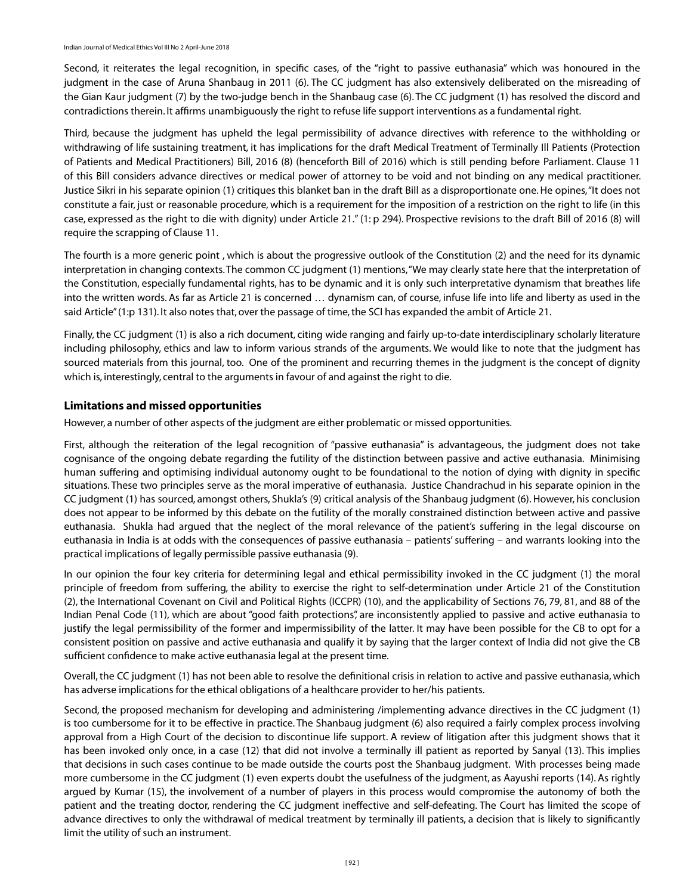Second, it reiterates the legal recognition, in specific cases, of the "right to passive euthanasia" which was honoured in the judgment in the case of Aruna Shanbaug in 2011 (6). The CC judgment has also extensively deliberated on the misreading of the Gian Kaur judgment (7) by the two-judge bench in the Shanbaug case (6). The CC judgment (1) has resolved the discord and contradictions therein. It affirms unambiguously the right to refuse life support interventions as a fundamental right.

Third, because the judgment has upheld the legal permissibility of advance directives with reference to the withholding or withdrawing of life sustaining treatment, it has implications for the draft Medical Treatment of Terminally Ill Patients (Protection of Patients and Medical Practitioners) Bill, 2016 (8) (henceforth Bill of 2016) which is still pending before Parliament. Clause 11 of this Bill considers advance directives or medical power of attorney to be void and not binding on any medical practitioner. Justice Sikri in his separate opinion (1) critiques this blanket ban in the draft Bill as a disproportionate one. He opines, "It does not constitute a fair, just or reasonable procedure, which is a requirement for the imposition of a restriction on the right to life (in this case, expressed as the right to die with dignity) under Article 21." (1: p 294). Prospective revisions to the draft Bill of 2016 (8) will require the scrapping of Clause 11.

The fourth is a more generic point , which is about the progressive outlook of the Constitution (2) and the need for its dynamic interpretation in changing contexts. The common CC judgment (1) mentions, "We may clearly state here that the interpretation of the Constitution, especially fundamental rights, has to be dynamic and it is only such interpretative dynamism that breathes life into the written words. As far as Article 21 is concerned … dynamism can, of course, infuse life into life and liberty as used in the said Article" (1:p 131). It also notes that, over the passage of time, the SCI has expanded the ambit of Article 21.

Finally, the CC judgment (1) is also a rich document, citing wide ranging and fairly up-to-date interdisciplinary scholarly literature including philosophy, ethics and law to inform various strands of the arguments. We would like to note that the judgment has sourced materials from this journal, too. One of the prominent and recurring themes in the judgment is the concept of dignity which is, interestingly, central to the arguments in favour of and against the right to die.

### **Limitations and missed opportunities**

However, a number of other aspects of the judgment are either problematic or missed opportunities.

First, although the reiteration of the legal recognition of "passive euthanasia" is advantageous, the judgment does not take cognisance of the ongoing debate regarding the futility of the distinction between passive and active euthanasia. Minimising human suffering and optimising individual autonomy ought to be foundational to the notion of dying with dignity in specific situations. These two principles serve as the moral imperative of euthanasia. Justice Chandrachud in his separate opinion in the CC judgment (1) has sourced, amongst others, Shukla's (9) critical analysis of the Shanbaug judgment (6). However, his conclusion does not appear to be informed by this debate on the futility of the morally constrained distinction between active and passive euthanasia. Shukla had argued that the neglect of the moral relevance of the patient's suffering in the legal discourse on euthanasia in India is at odds with the consequences of passive euthanasia – patients' suffering – and warrants looking into the practical implications of legally permissible passive euthanasia (9).

In our opinion the four key criteria for determining legal and ethical permissibility invoked in the CC judgment (1) the moral principle of freedom from suffering, the ability to exercise the right to self-determination under Article 21 of the Constitution (2), the International Covenant on Civil and Political Rights (ICCPR) (10), and the applicability of Sections 76, 79, 81, and 88 of the Indian Penal Code (11), which are about "good faith protections", are inconsistently applied to passive and active euthanasia to justify the legal permissibility of the former and impermissibility of the latter. It may have been possible for the CB to opt for a consistent position on passive and active euthanasia and qualify it by saying that the larger context of India did not give the CB sufficient confidence to make active euthanasia legal at the present time.

Overall, the CC judgment (1) has not been able to resolve the definitional crisis in relation to active and passive euthanasia, which has adverse implications for the ethical obligations of a healthcare provider to her/his patients.

Second, the proposed mechanism for developing and administering /implementing advance directives in the CC judgment (1) is too cumbersome for it to be effective in practice. The Shanbaug judgment (6) also required a fairly complex process involving approval from a High Court of the decision to discontinue life support. A review of litigation after this judgment shows that it has been invoked only once, in a case (12) that did not involve a terminally ill patient as reported by Sanyal (13). This implies that decisions in such cases continue to be made outside the courts post the Shanbaug judgment. With processes being made more cumbersome in the CC judgment (1) even experts doubt the usefulness of the judgment, as Aayushi reports (14). As rightly argued by Kumar (15), the involvement of a number of players in this process would compromise the autonomy of both the patient and the treating doctor, rendering the CC judgment ineffective and self-defeating. The Court has limited the scope of advance directives to only the withdrawal of medical treatment by terminally ill patients, a decision that is likely to significantly limit the utility of such an instrument.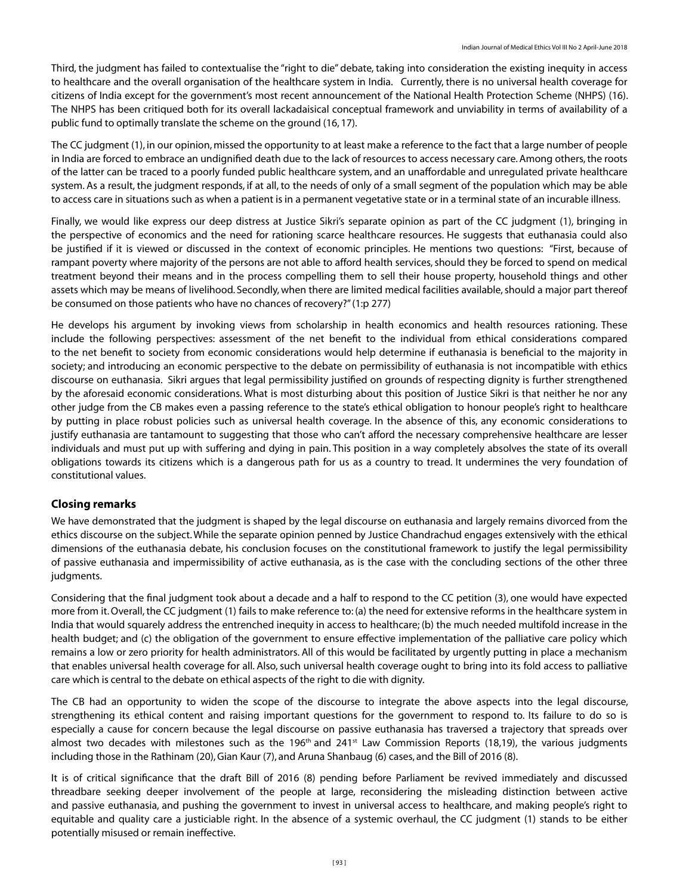Third, the judgment has failed to contextualise the "right to die" debate, taking into consideration the existing inequity in access to healthcare and the overall organisation of the healthcare system in India. Currently, there is no universal health coverage for citizens of India except for the government's most recent announcement of the National Health Protection Scheme (NHPS) (16). The NHPS has been critiqued both for its overall lackadaisical conceptual framework and unviability in terms of availability of a public fund to optimally translate the scheme on the ground (16, 17).

The CC judgment (1), in our opinion, missed the opportunity to at least make a reference to the fact that a large number of people in India are forced to embrace an undignified death due to the lack of resources to access necessary care. Among others, the roots of the latter can be traced to a poorly funded public healthcare system, and an unaffordable and unregulated private healthcare system. As a result, the judgment responds, if at all, to the needs of only of a small segment of the population which may be able to access care in situations such as when a patient is in a permanent vegetative state or in a terminal state of an incurable illness.

Finally, we would like express our deep distress at Justice Sikri's separate opinion as part of the CC judgment (1), bringing in the perspective of economics and the need for rationing scarce healthcare resources. He suggests that euthanasia could also be justified if it is viewed or discussed in the context of economic principles. He mentions two questions: "First, because of rampant poverty where majority of the persons are not able to afford health services, should they be forced to spend on medical treatment beyond their means and in the process compelling them to sell their house property, household things and other assets which may be means of livelihood. Secondly, when there are limited medical facilities available, should a major part thereof be consumed on those patients who have no chances of recovery?" (1:p 277)

He develops his argument by invoking views from scholarship in health economics and health resources rationing. These include the following perspectives: assessment of the net benefit to the individual from ethical considerations compared to the net benefit to society from economic considerations would help determine if euthanasia is beneficial to the majority in society; and introducing an economic perspective to the debate on permissibility of euthanasia is not incompatible with ethics discourse on euthanasia. Sikri argues that legal permissibility justified on grounds of respecting dignity is further strengthened by the aforesaid economic considerations. What is most disturbing about this position of Justice Sikri is that neither he nor any other judge from the CB makes even a passing reference to the state's ethical obligation to honour people's right to healthcare by putting in place robust policies such as universal health coverage. In the absence of this, any economic considerations to justify euthanasia are tantamount to suggesting that those who can't afford the necessary comprehensive healthcare are lesser individuals and must put up with suffering and dying in pain. This position in a way completely absolves the state of its overall obligations towards its citizens which is a dangerous path for us as a country to tread. It undermines the very foundation of constitutional values.

### **Closing remarks**

We have demonstrated that the judgment is shaped by the legal discourse on euthanasia and largely remains divorced from the ethics discourse on the subject. While the separate opinion penned by Justice Chandrachud engages extensively with the ethical dimensions of the euthanasia debate, his conclusion focuses on the constitutional framework to justify the legal permissibility of passive euthanasia and impermissibility of active euthanasia, as is the case with the concluding sections of the other three judgments.

Considering that the final judgment took about a decade and a half to respond to the CC petition (3), one would have expected more from it. Overall, the CC judgment (1) fails to make reference to: (a) the need for extensive reforms in the healthcare system in India that would squarely address the entrenched inequity in access to healthcare; (b) the much needed multifold increase in the health budget; and (c) the obligation of the government to ensure effective implementation of the palliative care policy which remains a low or zero priority for health administrators. All of this would be facilitated by urgently putting in place a mechanism that enables universal health coverage for all. Also, such universal health coverage ought to bring into its fold access to palliative care which is central to the debate on ethical aspects of the right to die with dignity.

The CB had an opportunity to widen the scope of the discourse to integrate the above aspects into the legal discourse, strengthening its ethical content and raising important questions for the government to respond to. Its failure to do so is especially a cause for concern because the legal discourse on passive euthanasia has traversed a trajectory that spreads over almost two decades with milestones such as the 196<sup>th</sup> and 241<sup>st</sup> Law Commission Reports (18,19), the various judgments including those in the Rathinam (20), Gian Kaur (7), and Aruna Shanbaug (6) cases, and the Bill of 2016 (8).

It is of critical significance that the draft Bill of 2016 (8) pending before Parliament be revived immediately and discussed threadbare seeking deeper involvement of the people at large, reconsidering the misleading distinction between active and passive euthanasia, and pushing the government to invest in universal access to healthcare, and making people's right to equitable and quality care a justiciable right. In the absence of a systemic overhaul, the CC judgment (1) stands to be either potentially misused or remain ineffective.